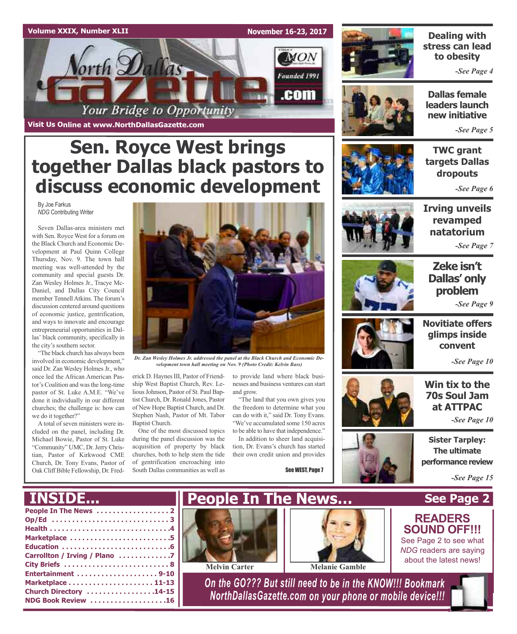

**Sen. Royce West brings**

**together Dallas black pastors to**

**discuss economic development**



### **Dealing with stress can lead to obesity**

*-See Page 4*

**Dallas female leaders launch new initiative**

*-See Page 5*

### **TWC grant targets Dallas dropouts**

*-See Page 6*

By Joe Farkus *NDG* Contributing Writer

Seven Dallas-area ministers met with Sen. Royce West for a forum on the Black Church and Economic Development at Paul Quinn College Thursday, Nov. 9. The town hall meeting was well-attended by the community and special guests Dr. Zan Wesley Holmes Jr., Tracye Mc-Daniel, and Dallas City Council member Tennell Atkins. The forum's discussion centered around questions of economic justice, gentrification, and ways to innovate and encourage entrepreneurial opportunities in Dallas' black community, specifically in the city's southern sector.

"The black church has always been involved in economic development," said Dr. Zan Wesley Holmes Jr., who once led the African American Pastor's Coalition and was the long-time pastor of St. Luke A.M.E. "We've done it individually in our different churches; the challenge is: how can we do it together?"

A total of seven ministers were included on the panel, including Dr. Michael Bowie, Pastor of St. Luke "Community" UMC, Dr.Jerry Christian, Pastor of Kirkwood CME Church, Dr. Tony Evans, Pastor of Oak Cliff Bible Fellowship, Dr. Fred-



*Dr. Zan Wesley Holmes Jr. addressed the panel at the Black Church and Economic Development town hall meeting on Nov. 9 (Photo Credit: Kelvin Bass)*

erick D. Haynes III, Pastor of Friendship West Baptist Church, Rev. Lelious Johnson, Pastor of St. Paul Baptist Church, Dr. Ronald Jones, Pastor of New Hope Baptist Church, and Dr. Stephen Nash, Pastor of Mt. Tabor Baptist Church.

One of the most discussed topics during the panel discussion was the acquisition of property by black churches, both to help stem the tide of gentrification encroaching into South Dallas communities as well as

to provide land where black businesses and business ventures can start and grow.

"The land that you own gives you the freedom to determine what you can do with it," said Dr. Tony Evans. "We've accumulated some 150 acres to be able to have that independence."

In addition to sheer land acquisition, Dr. Evans's church has started their own credit union and provides

See WEST, Page 7



**Irving unveils revamped natatorium**

*-See Page 7*



### **Zeke isn't Dallas' only problem** *-See Page 9*



*-See Page 10*

### **Win tix to the 70s Soul Jam at ATTPAC**

*-See Page 10*

**Sister Tarpley: The ultimate performance review** 

**See Page 2**

*-See Page 15*

# **INSIDE...**

| Marketplace 5                 |
|-------------------------------|
|                               |
| Carrollton / Irving / Plano 7 |
|                               |
| Entertainment 9-10            |
|                               |
| Church Directory 14-15        |
| NDG Book Review 16            |
|                               |





**Melvin Carter Melanie Gamble**

*On the GO??? But still need to be in the KNOW!!! Bookmark NorthDallasGazette.com on your phone or mobile device!!!*



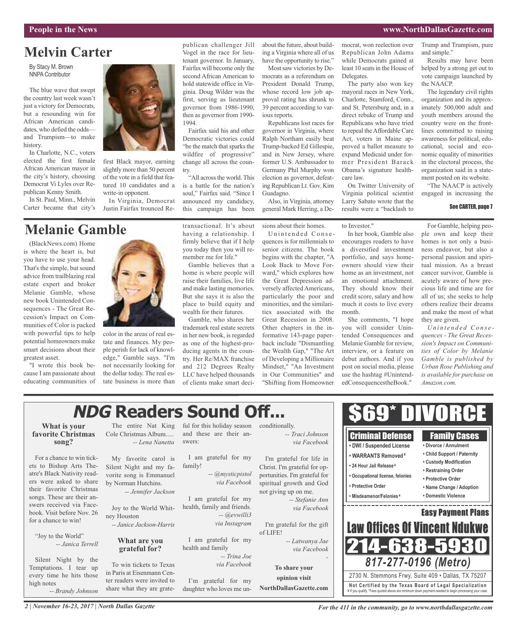# **Melvin Carter**

By Stacy M. Brown NNPA Contributor

The blue wave that swept the country last week wasn't just a victory for Democrats, but a resounding win for African American candidates, who defied the odds and Trumpism—to make history.

In Charlotte, N.C., voters elected the first female African American mayor in the city's history, choosing Democrat Vi Lyles over Republican Kenny Smith.

In St. Paul, Minn., Melvin Carter became that city's

# **Melanie Gamble**

(BlackNews.com) Home is where the heart is, but you have to use your head. That's the simple, but sound advice from trailblazing real estate expert and broker Melanie Gamble, whose new book Unintended Consequences - The Great Recession's Impact on Communities of Color is packed with powerful tips to help potential homeowners make smart decisions about their greatest asset.

"I wrote this book because I am passionate about educating communities of



first Black mayor, earning slightly more than 50 percent of the vote in a field that featured 10 candidates and a write-in opponent.

In Virginia, Democrat Justin Fairfax trounced Re-

color in the areas of real estate and finances. My people perish for lack of knowledge," Gamble says. "I'm not necessarily looking for the dollar today. The real estate business is more than having a relationship. I firmly believe that if I help you today then you will remember me for life."

publican challenger Jill Vogel in the race for lieutenant governor. In January, Fairfax will become only the second African American to hold statewide office in Virginia. Doug Wilder was the first, serving as lieutenant governor from 1986-1990, then as governor from 1990-

Fairfax said his and other Democratic victories could "be the match that sparks the wildfire of progressive" change all across the coun-

"All across the world. This is a battle for the nation's soul," Fairfax said. "Since I announced my candidacy, this campaign has been

1994.

try.

wealth for their futures.

trademark real estate secrets in her new book, is regarded as one of the highest-producing agents in the country. Her Re/MAX franchise and 212 Degrees Realty LLC have helped thousands of clients make smart deciabout the future, about building a Virginia where all of us have the opportunity to rise."

Most saw victories by Democrats as a referendum on President Donald Trump, whose record low job approval rating has shrunk to 39 percent according to various reports.

Republicans lost races for governor in Virginia, where Ralph Northam easily beat Trump-backed Ed Gillespie, and in New Jersey, where former U.S. Ambassador to Germany Phil Murphy won election as governor, defeating Republican Lt. Gov. Kim Guadagno.

Also, in Virginia, attorney general Mark Herring, a De-

sions about their homes.

Unintended Consequences is for millennials to senior citizens. The book begins with the chapter, "A Look Back to Move Forward," which explores how the Great Depression adversely affected Americans, particularly the poor and minorities, and the similarities associated with the Great Recession in 2008. Other chapters in the informative 143-page paperback include "Dismantling the Wealth Gap," "The Art of Developing a Millionaire Mindset," "An Investment in Our Communities" and "Shifting from Homeowner mocrat, won reelection over Republican John Adams while Democrats gained at least 10 seats in the House of Delegates.

The party also won key mayoral races in New York, Charlotte, Stamford, Conn., and St. Petersburg and, in a direct rebuke of Trump and Republicans who have tried to repeal theAffordable Care Act, voters in Maine approved a ballot measure to expand Medicaid under former President Barack Obama's signature healthcare law.

On Twitter University of Virginia political scientist Larry Sabato wrote that the results were a "backlash to

to Investor."

In her book, Gamble also encourages readers to have a diversified investment portfolio, and says homeowners should view their home as an investment, not an emotional attachment. They should know their credit score, salary and how much it costs to live every month.

She comments, "I hope you will consider Unintended Consequences and Melanie Gamble for review, interview, or a feature on debut authors. And if you post on social media, please use the hashtag #UnintendedConsequencestheBook."

Trump and Trumpism, pure and simple."

Results may have been helped by a strong get out to vote campaign launched by the NAACP.

The legendary civil rights organization and its approximately 500,000 adult and youth members around the country were on the frontlines committed to raising awareness for political, educational, social and economic equality of minorities in the electoral process, the organization said in a statement posted on its website.

"The NAACP is actively engaged in increasing the

#### See CARTER, page 7

For Gamble, helping people own and keep their homes is not only a business endeavor, but also a personal passion and spiritual mission. As a breast cancer survivor, Gamble is acutely aware of how precious life and time are for all of us; she seeks to help others realize their dreams and make the most of what they are given.

*U n i n t e n d e d Co n s e quences - The Great Recession's Impact on Communities of Color by Melanie Gamble is published by Urban Rose Publishing and is available for purchase on Amazon.com.*

#### \$69\* DIVORCE **NDG Readers Sound Off... What is your** The entire Nat King ful for this holiday season conditionally. and these are their an-*-- Traci Johnson* **favorite Christmas** Cole Christmas Album..... Criminal Defense Family Cases **song?** *-- Lena Nanetta* swers: *via Facebook* **• DWI / Suspended License • Divorce / Annulment • Child Support / Paternity • WARRANTS Removed ¥** For a chance to win tick-My favorite carol is I am grateful for my I'm grateful for life in **• Custody Modification** family! **• 24 Hour Jail Release ¥** ets to Bishop Arts The-Silent Night and my fa-Christ. I'm grateful for op-**• Restraining Order** atre's Black Nativity read-*-- @mysticpistol* vorite song is Emmanuel portunities. I'm grateful for **• Occupational license, felonies • Protective Order** ers were asked to share *via Facebook* by Norman Hutchins. spiritual growth and God **• Protective Order • Name Change / Adoption** their favorite Christmas *-- Jennifer Jackson* not giving up on me. **• Misdeamenor/Felonies ¥ • Domestic Violence** songs. These are their an-I am grateful for my *-- Stefanie Ann* swers received via Face-. <u>. . . . . . . . . . . . . . . .</u> health, family and friends. *via Facebook* Joy to the World Whit-Easy Payment Plans book. Visit before Nov. 26 *-- @evwilli3* ney Houston for a chance to win! *via Instagram -- Janice Jackson-Harris* I'm grateful for the gift **Law Offices Of Vincent Ndul** of LIFE! "Joy to the World" I am grateful for my **What are you** *-- Latwanya Jae* 14-638-5 *-- Janica Terrell* health and family **grateful for?** *via Facebook -- Trina Joe -* Silent Night by the *817-277-0196 (Metro)* To win tickets to Texas *via Facebook* Temptations. I tear up **To share your** in Paris at Eisenmann Cenevery time he hits those 2730 N. Stemmons Frwy, Suite 409 • Dallas, TX 75207 **opinion visit** ter readers were invited to I'm grateful for my high notes **Not Ce rtified by the Te x a s Boa rd of Lega l Spe c ia l i za tion NorthDallasGazette.com** share what they are gratedaughter who loves me un-*-- Brandy Johnson* ¥ If you qualify. \*Fees quoted above are minimum down payment needed to begin processing your case.

*2 | November 16-23, 2017 | North Dallas Gazette*

*For the 411 in the community, go to www.northdallasgazette.com*

transactional. It's about Gamble believes that a

home is where people will raise their families, live life and make lasting memories. But she says it is also the place to build equity and

Gamble, who shares her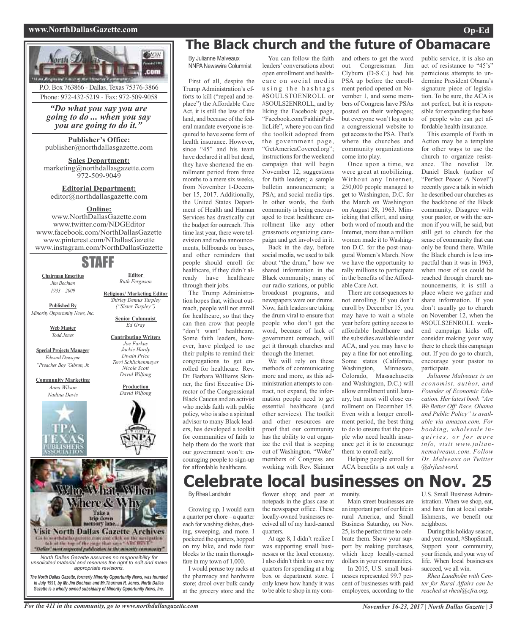#### **www.NorthDallasGazette.com Op-Ed**



*in July 1991, by Mr.Jim Bochum and Mr.Thurman R. Jones. North Dallas Gazette is a wholly owned subsidairy of Minority Opportunity News, Inc.*

# **The Black church and the future of Obamacare**

By Julianne Malveaux NNPA Newswire Columnist

First of all, despite the Trump Administration's efforts to kill ("repeal and replace") the Affordable Care Act, it is still the law of the land, and because of the federal mandate everyone is required to have some form of health insurance. However, since "45" and his team have declared it all but dead, they have shortened the enrollment period from three months to a mere six weeks, from November 1-December 15, 2017. Additionally, the United States Department of Health and Human Services has drastically cut the budget for outreach. This time last year, there were television and radio announcements, billboards on buses, and other reminders that people should enroll for healthcare, if they didn't already have healthcare through their jobs.

The Trump Administration hopes that, without outreach, people will not enroll for healthcare, so that they can then crow that people "don't want" healthcare. Some faith leaders, however, have pledged to use their pulpits to remind their congregations to get enrolled for healthcare. Rev. Dr. Barbara Williams Skinner, the first Executive Director of the Congressional Black Caucus and an activist who melds faith with public policy, who is also a spiritual advisor to many Black leaders, has developed a toolkit for communities of faith to help them do the work that our government won't: encouraging people to sign-up for affordable healthcare.

You can follow the faith leaders' conversations about open enrollment and healthcare on social media using the hashtags #SOULSTOENROLL or #SOULS2ENROLL, and by liking the Facebook page, "Facebook.com/FaithinPublicLife", where you can find the toolkit adopted from the government page, "GetAmericaCovered.org"; instructions for the weekend campaign that will begin November 12, suggestions for faith leaders; a sample bulletin announcement; a PSA; and social media tips. In other words, the faith community is being encouraged to treat healthcare enrollment like any other grassroots organizing campaign and get involved in it. Back in the day, before

social media, we used to talk about "the drum," how we shared information in the Black community; many of our radio stations, or public broadcast programs, and newspapers were our drums. Now, faith leaders are taking the drum viral to ensure that people who don't get the word, because of lack of government outreach, will get it through churches and through the Internet.

We will rely on these methods of communicating more and more, as this administration attempts to contract, not expand, the information people need to get essential healthcare (and other services). The toolkit and other resources are proof that our community has the ability to out organize the evil that is seeping out of Washington. "Woke" members of Congress are working with Rev. Skinner and others to get the word out. Congressman Jim Clyburn (D-S.C.) had his PSA up before the enrollment period opened on November 1, and some members of Congress have PSAs posted on their webpages; but everyone won't log on to a congressional website to get accessto the PSA. That's where the churches and community organizations come into play.

Once upon a time, we were great at mobilizing. Without any Internet, 250,000 people managed to get to Washington, D.C. for the March on Washington on August 28, 1963. Mimicking that effort, and using both word of mouth and the Internet, more than a million women made it to Washington D.C. for the post-inaugural Women's March. Now we have the opportunity to rally millions to participate in the benefits of theAffordable Care Act.

There are consequences to not enrolling. If you don't enroll by December 15, you may have to wait a whole year before getting access to affordable healthcare and the subsidies available under ACA, and you may have to pay a fine for not enrolling. Some states (California, Washington, Minnesota, Washington, Colorado, Massachusetts and Washington, D.C.) will allow enrollment until January, but most will close enrollment on December 15. Even with a longer enrollment period, the best thing to do to ensure that the people who need health insurance get it is to encourage them to enroll early.

Helping people enroll for ACA benefits is not only a

**Celebrate local businesses on Nov. 25** U.S. Small Business Admin-

By Rhea Landholm

Growing up, I would earn a quarter per chore – a quarter each for washing dishes, dusting, sweeping, and more. I pocketed the quarters, hopped on my bike, and rode four blocks to the main thoroughfare in my town of 1,000.

I would peruse toy racks at the pharmacy and hardware store; drool over bulk candy at the grocery store and the

flower shop; and peer at notepads in the glass case at the newspaper office. These locally-owned businesses received all of my hard-earned quarters.

At age 8, I didn't realize I was supporting small businesses or the local economy. I also didn't think to save my quarters for spending at a big box or department store. I only knew how handy it was to be able to shop in my com-

#### munity.

Main street businesses are an important part of our life in rural America, and Small Business Saturday, on Nov. 25, isthe perfect time to celebrate them. Show your support by making purchases, which keep locally-earned dollars in your communities. In 2015, U.S. small busi-

nesses represented 99.7 percent of businesses with paid employees, according to the

public service, it is also an act of resistance to "45's" pernicious attempts to undermine President Obama's signature piece of legislation. To be sure, the ACA is not perfect, but it is responsible for expanding the base of people who can get affordable health insurance.

This example of Faith in Action may be a template for other ways to use the church to organize resistance. The novelist Dr. Daniel Black (author of "Perfect Peace: A Novel") recently gave a talk in which he described our churches as the backbone of the Black community. Disagree with your pastor, or with the sermon if you will, he said, but still get to church for the sense of community that can only be found there. While the Black church is less impactful than it was in 1963, when most of us could be reached through church announcements, it is still a place where we gather and share information. If you don't usually go to church on November 12, when the #SOULS2ENROLL weekend campaign kicks off, consider making your way there to check this campaign out. If you do go to church, encourage your pastor to participate.

*Julianne Malveaux is an economist, author, and Founder of Economic Education. Her latest book "Are We Better Off: Race, Obama and Public Policy" is available via amazon.com. For booking, wholesale inq u iri e s, o r f o r m o r e info, visit www.juliannemalveaux.com. Follow Dr. Malveaux on Twitter @drjlastword.*

and have fun at local establishments, we benefit our neighbors. During this holiday season, and year round, #ShopSmall. Support your community, your friends, and your way of

istration. When we shop, eat,

life. When local businesses succeed, we all win. *Rhea Landholm with Center for Rural Affairs can be*

*reached at rheal@cfra.org.*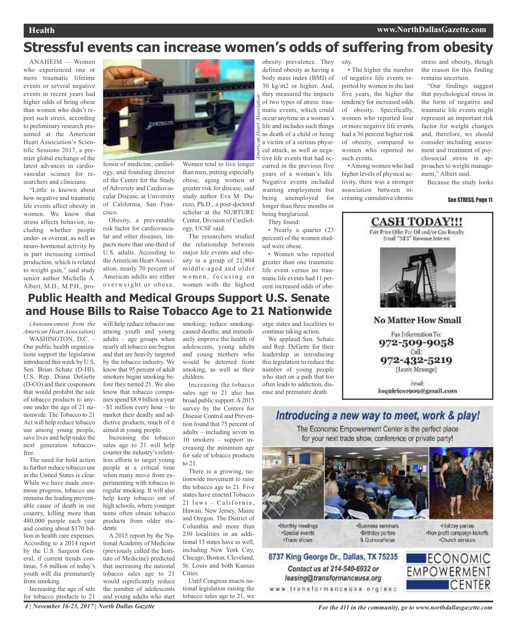# **Stressful events can increase women's odds of suffering from obesity**

*A*

*merican Heart Association*

ANAHEIM — Women who experienced one or more traumatic lifetime events or several negative events in recent years had higher odds of being obese than women who didn't report such stress, according to preliminary research presented at the American Heart Association's Scientific Sessions 2017, a premier global exchange of the latest advances in cardiovascular science for researchers and clinicians.

"Little is known about how negative and traumatic life events affect obesity in women. We know that stress affects behavior, including whether people under- or overeat, as well as neuro-hormonal activity by in part increasing cortisol production, which is related to weight gain," said study senior author Michelle A. Albert, M.D., M.P.H., pro-



fessor of medicine, cardiology, and founding director of the Center for the Study of Adversity and Cardiovascular Disease, at University of California, San Francisco.

Obesity, a preventable risk factor for cardiovascular and other diseases, impacts more than one-third of U.S. adults. According to the American Heart Association, nearly 70 percent of American adults are either overweight or obese. Women tend to live longer than men, putting especially obese, aging women at greater risk for disease, said study author Eva M. Durazo, Ph.D., a post-doctoral scholar at the NURTURE Center, Division of Cardiology, UCSF said.

The researchers studied the relationship between major life events and obesity in a group of 21,904 middle-aged and older women, focusing on women with the highest

obesity prevalence. They defined obesity as having a body mass index (BMI) of 30 kg/m2 or higher. And, they measured the impacts of two types of stress: traumatic events, which could occur anytime in a woman's life and includes such things as death of a child or being a victim of a serious physical attack, as well as negative life events that had occurred in the previous five years of a woman's life. Negative events included wanting employment but being unemployed for

longer than three months or being burglarized.

They found:

• Nearly a quarter (23 percent) of the women studied were obese.

• Women who reported greater than one traumatic life event versus no traumatic life events had 11 percent increased odds of obe-

sity. • The higher the number of negative life events reported by women in the last five years, the higher the

tendency for increased odds of obesity. Specifically, women who reported four or more negative life events had a 36 percent higher risk of obesity, compared to women who reported no such events.

• Among women who had higher levels of physical activity, there was a stronger association between increasing cumulative/chronic

stress and obesity, though the reason for this finding remains uncertain.

"Our findings suggest that psychological stress in the form of negative and traumatic life events might represent an important risk factor for weight changes and, therefore, we should consider including assessment and treatment of psychosocial stress in approaches to weight management," Albert said.

Because the study looks

#### See STRESS, Page 11



### **Public Health and Medical Groups Support U.S. Senate and House Bills to Raise Tobacco Age to 21 Nationwide**

*(Announcement from the American Heart Association)*

WASHINGTON, D.C. -Our public health organizations support the legislation introduced this week by U.S. Sen. Brian Schatz (D-HI), U.S. Rep. Diana DeGette (D-CO) and their cosponsors that would prohibit the sale of tobacco products to anyone under the age of 21 nationwide. The Tobacco to 21 Act will help reduce tobacco use among young people, save lives and help make the next generation tobaccofree.

The need for bold action to further reduce tobacco use in the United States is clear. While we have made enormous progress, tobacco use remains the leading preventable cause of death in our country, killing more than 480,000 people each year and costing about \$170 billion in health care expenses. According to a 2014 report by the U.S. Surgeon General, if current trends continue, 5.6 million of today's youth will die prematurely from smoking.

Increasing the age of sale for tobacco products to 21

will help reduce tobacco use among youth and young adults – age groups when nearly all tobacco use begins and that are heavily targeted by the tobacco industry. We know that 95 percent of adult smokers began smoking before they turned 21. We also know that tobacco companies spend \$8.9 billion a year –\$1 million every hour – to market their deadly and addictive products, much of it aimed at young people.

Increasing the tobacco sales age to 21 will help counter the industry's relentless efforts to target young people at a critical time when many move from experimenting with tobacco to regular smoking. It will also help keep tobacco out of high schools, where younger teens often obtain tobacco products from older students.

A 2015 report by the National Academy of Medicine (previously called the Institute of Medicine) predicted that increasing the national tobacco sales age to 21 would significantly reduce the number of adolescents and young adults who start

smoking; reduce smokingcaused deaths; and immediately improve the health of adolescents, young adults and young mothers who would be deterred from smoking, as well as their children.

Increasing the tobacco sales age to 21 also has broad public support.A2015 survey by the Centers for Disease Control and Prevention found that 75 percent of adults – including seven in 10 smokers – support increasing the minimum age for sale of tobacco products to 21.

There is a growing, nationwide movement to raise the tobacco age to 21. Five states have enacted Tobacco  $21$  laws - California, Hawaii, New Jersey, Maine and Oregon. The District of Columbia and more than 230 localities in an additional 13 states have as well, including New York City, Chicago, Boston, Cleveland, St. Louis and both Kansas **Cities** 

Until Congress enacts national legislation raising the tobacco sales age to 21, we urge states and localities to continue taking action.

We applaud Sen. Schatz and Rep. DeGette for their leadership in introducing this legislation to reduce the number of young people who start on a path that too often leads to addiction, disease and premature death.

### Introducing a new way to meet, work & play!

The Economic Empowerment Center is the perfect place for your next trade show, conference or private party!





Contact us at 214-540-6932 or

leasing@transformanceusa.org

«Business seminars ·Birthday parties 8. Curicea Tenas



Charch services

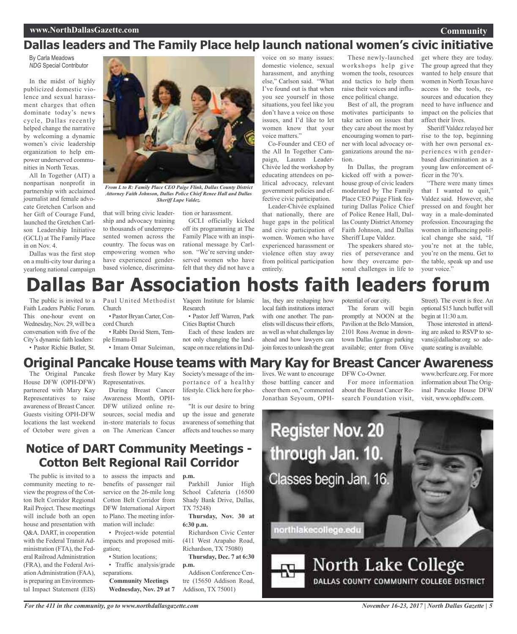### **Community**

## **Dallas leaders and The Family Place help launch national women's civic initiative**

By Carla Meadows *NDG* Special Contributor

In the midst of highly publicized domestic violence and sexual harassment charges that often dominate today's news cycle, Dallas recently helped change the narrative by welcoming a dynamic women's civic leadership organization to help empower underserved communities in North Texas.

All In Together (AIT) a nonpartisan nonprofit in partnership with acclaimed journalist and female advocate Gretchen Carlson and her Gift of Courage Fund, launched the Gretchen Carlson Leadership Initiative (GCLI) at The Family Place in on Nov. 4.

Dallas was the first stop on a multi-city tour during a yearlong national campaign



*From L to R: Family Place CEO Paige Flink, Dallas County District Attorney Faith Johnson, Dallas Police Chief Renee Hall and Dallas Sheriff Lupe Valdez.*

that will bring civic leadership and advocacy training to thousands of underrepresented women across the country. The focus was on empowering women who have experienced genderbased violence, discrimination or harassment.

GCLI officially kicked off its programming at The Family Place with an inspirational message by Carlson. "We're serving underserved women who have felt that they did not have a

voice on so many issues: domestic violence, sexual harassment, and anything else," Carlson said. "What I've found out is that when you see yourself in those situations, you feel like you don't have a voice on those issues, and I'd like to let women know that your voice matters."

Co-Founder and CEO of the All In Together Campaign, Lauren Leader-Chivée led the workshop by educating attendees on political advocacy, relevant government policies and effective civic participation.

Leader-Chivée explained that nationally, there are huge gaps in the political and civic participation of women. Women who have experienced harassment or violence often stay away from political participation entirely.

These newly-launched workshops help give women the tools, resources and tactics to help them raise their voices and influence political change.

Best of all, the program motivates participants to take action on issues that they care about the most by encouraging women to partner with local advocacy organizations around the nation.

In Dallas, the program kicked off with a powerhouse group of civic leaders moderated by The Family Place CEO Paige Flink featuring Dallas Police Chief of Police Renee Hall, Dallas County District Attorney Faith Johnson, and Dallas Sheriff Lupe Valdez.

The speakers shared stories of perseverance and how they overcame personal challenges in life to

get where they are today. The group agreed that they wanted to help ensure that women in North Texas have access to the tools, resources and education they need to have influence and impact on the policies that affect their lives.

Sheriff Valdez relayed her rise to the top, beginning with her own personal experiences with genderbased discrimination as a young law enforcement officer in the 70's.

"There were many times that I wanted to quit," Valdez said. However, she pressed on and fought her way in a male-dominated profession. Encouraging the women in influencing political change she said, "If you're not at the table, you're on the menu. Get to the table, speak up and use your voice."

# **las Bar Association hosts faith leaders forum**

The public is invited to a Faith Leaders Public Forum. This one-hour event on Wednesday, Nov. 29, will be a conversation with five of the City's dynamic faith leaders:

• Pastor Richie Butler, St.

Paul United Methodist Church • Pastor Bryan Carter, Con-

cord Church • Rabbi David Stern, Tem-

ple Emanu-El • Imam Omar Suleiman, Yaqeen Institute for Islamic Research

• Pastor Jeff Warren, Park Cities Baptist Church

Each of these leaders are not only changing the landscape on race relations in Dallas, they are reshaping how local faith institutions interact with one another. The panelists will discuss their efforts. as well as what challenges lay ahead and how lawyers can join forces to unleash the great

potential of our city.

The forum will begin promptly at NOON at the Pavilion at the Belo Mansion, 2101 Ross Avenue in downtown Dallas (garage parking available; enter from Olive

Street). The event is free. An optional \$15 lunch buffet will begin at 11:30 a.m.

Those interested in attending are asked to RSVP to sevans@dallasbar.org so adequate seating is available.

### **Original Pancake House teams with Mary Kay for Breast Cancer Awareness**

The Original Pancake House DFW (OPH-DFW) partnered with Mary Kay Representatives to raise awareness of Breast Cancer. Guests visiting OPH-DFW locations the last weekend of October were given a fresh flower by Mary Kay Representatives.

During Breast Cancer Awareness Month, OPH-DFW utilized online resources, social media and in-store materials to focus on The American Cancer

Society's message of the importance of a healthy lifestyle. Click here for photos

"It is our desire to bring up the issue and generate awareness of something that affects and touches so many lives. We want to encourage those battling cancer and cheer them on," commented Jonathan Seyoum, OPH-

DFW Co-Owner. For more information

about the Breast Cancer Research Foundation visit,

www.bcrfcure.org. For more information about The Original Pancake House DFW visit, www.ophdfw.com.



### **Notice of DART Community Meetings - Cotton Belt Regional Rail Corridor**

The public is invited to a community meeting to review the progress of the Cotton Belt Corridor Regional Rail Project. These meetings will include both an open house and presentation with Q&A. DART, in cooperation with the Federal Transit Administration (FTA), the Federal Railroad Administration (FRA), and the Federal Aviation Administration (FAA), is preparing an Environmental Impact Statement (EIS)

to assess the impacts and benefits of passenger rail service on the 26-mile long Cotton Belt Corridor from DFW International Airport to Plano. The meeting information will include:

• Project-wide potential impacts and proposed mitigation;

• Station locations;

• Traffic analysis/grade separations.

**Community Meetings Wednesday, Nov. 29 at 7**

Parkhill Junior High School Cafeteria (16500 Shady Bank Drive, Dallas, TX 75248)

**p.m.**

**Thursday, Nov. 30 at 6:30 p.m.**

Richardson Civic Center (411 West Arapaho Road, Richardson, TX 75080)

**Thursday, Dec. 7 at 6:30 p.m.**

Addison Conference Centre (15650 Addison Road, Addison, TX 75001)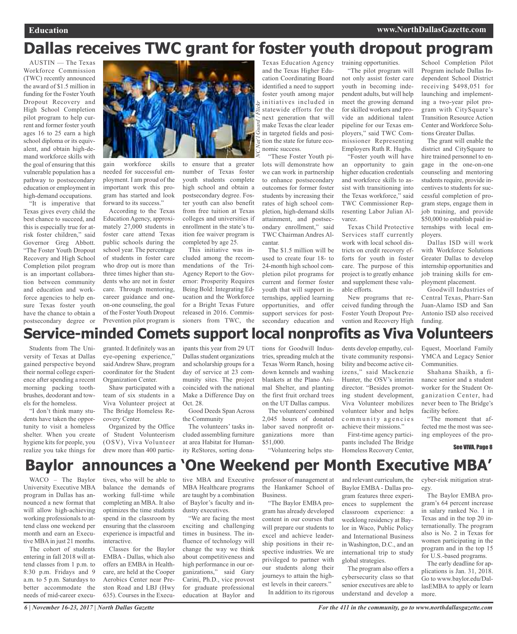# **Dallas receives TWC grant for foster youth dropout program**

*NC*

*Nat'l Guard / Flickr*

AUSTIN — The Texas Workforce Commission (TWC) recently announced the award of \$1.5 million in funding for the Foster Youth Dropout Recovery and High School Completion pilot program to help current and former foster youth ages 16 to 25 earn a high school diploma or its equivalent, and obtain high-demand workforce skills with the goal of ensuring that this vulnerable population has a pathway to postsecondary education or employment in high-demand occupations.

"It is imperative that Texas gives every child the best chance to succeed, and this is especially true for atrisk foster children," said Governor Greg Abbott. "The Foster Youth Dropout Recovery and High School Completion pilot program is an important collaboration between community and education and workforce agencies to help ensure Texas foster youth have the chance to obtain a postsecondary degree or



gain workforce skills needed for successful employment. I am proud of the important work this program has started and look forward to its success."

According to the Texas Education Agency, approximately 27,000 students in foster care attend Texas public schools during the school year. The percentage of students in foster care who drop out is more than three times higher than students who are not in foster care. Through mentoring, career guidance and oneon-one counseling, the goal of the Foster Youth Dropout Prevention pilot program is

to ensure that a greater number of Texas foster youth students complete high school and obtain a postsecondary degree. Foster youth can also benefit from free tuition at Texas colleges and universities if enrollment in the state's tuition fee waiver program is completed by age 25.

This initiative was included among the recommendations of the Tri-Agency Report to the Governor: Prosperity Requires Being Bold: Integrating Education and the Workforce for a Bright Texas Future released in 2016. Commissioners from TWC, the Texas Education Agency and the Texas Higher Education Coordinating Board identified a need to support foster youth among major initiatives included in statewide efforts for the next generation that will make Texas the clear leader in targeted fields and position the state for future economic success.

"These Foster Youth pilots will demonstrate how we can work in partnership to enhance postsecondary outcomes for former foster students by increasing their rates of high school completion, high-demand skills attainment, and postsecondary enrollment," said TWC Chairman Andres Alcantar.

The \$1.5 million will be used to create four 18- to 24-month high school completion pilot programs for current and former foster youth that will support internships, applied learning opportunities, and offer support services for postsecondary education and

training opportunities. "The pilot program will not only assist foster care youth in becoming independent adults, but will help meet the growing demand for skilled workers and provide an additional talent pipeline for our Texas employers," said TWC Commissioner Representing Employers Ruth R. Hughs.

"Foster youth will have an opportunity to gain higher education credentials and workforce skills to assist with transitioning into the Texas workforce," said TWC Commissioner Representing Labor Julian Alvarez.

Texas Child Protective Services staff currently work with local school districts on credit recovery efforts for youth in foster care. The purpose of this project is to greatly enhance and supplement these valuable efforts.

New programs that received funding through the Foster Youth Dropout Prevention and Recovery High

School Completion Pilot Program include Dallas Independent School District receiving \$498,051 for launching and implementing a two-year pilot program with CitySquare's Transition Resource Action Center and Workforce Solutions Greater Dallas.

The grant will enable the district and CitySquare to hire trained personnel to engage in the one-on-one counseling and mentoring students require, provide incentives to students for successful completion of program steps, engage them in job training, and provide \$50,000 to establish paid internships with local employers.

Dallas ISD will work with Workforce Solutions Greater Dallas to develop internship opportunities and job training skills for employment placement.

Goodwill Industries of Central Texas, Pharr-San Juan-Alamo ISD and San Antonio ISD also received funding.

# **Service-minded Comets support local nonprofits as Viva Volunteers**

Students from The University of Texas at Dallas gained perspective beyond their normal college experience after spending a recent morning packing toothbrushes, deodorant and towels for the homeless.

"I don't think many students have taken the opportunity to visit a homeless shelter. When you create hygiene kits for people, you realize you take things for

granted. It definitely was an eye-opening experience," said Andrew Shaw, program coordinator for the Student Organization Center.

Shaw participated with a team of six students in a Viva Volunteer project at The Bridge Homeless Recovery Center.

Organized by the Office of Student Volunteerism (OSV), Viva Volunteer drew more than 400 partic-

ipants this year from 29 UT Dallas student organizations and scholarship groups for a day of service at 23 community sites. The project coincided with the national Make a Difference Day on Oct. 28.

Good Deeds Span Across the Community

The volunteers' tasks included assembling furniture at area Habitat for Humanity ReStores, sorting dona-

tions for Goodwill Industries, spreading mulch at the Texas Worm Ranch, hosing down kennels and washing blankets at the Plano Animal Shelter, and planting the first fruit orchard trees on the UT Dallas campus.

The volunteers' combined 2,045 hours of donated labor saved nonprofit organizations more than \$51,000.

"Volunteering helps stu-

dents develop empathy, cultivate community responsibility and become active citizens," said Mackenzie Hunter, the OSV's interim director. "Besides promoting student development, Viva Volunteer mobilizes volunteer labor and helps community agencies achieve their missions."

First-time agency participants included The Bridge Homeless Recovery Center,

Equest, Moorland Family YMCA and Legacy Senior Communities.

Shahana Shaikh, a finance senior and a student worker for the Student Organization Center, had never been to The Bridge's facility before.

"The moment that affected me the most was seeing employees of the pro-

See VIVA, Page 8

# **Baylor announces a 'One Weekend per Month Executive MBA'**

WACO – The Baylor University Executive MBA program in Dallas has announced a new format that will allow high-achieving working professionals to attend class one weekend per month and earn an Executive MBA in just 21 months.

The cohort of students entering in fall 2018 will attend classes from 1 p.m. to 8:30 p.m. Fridays and 9 a.m. to 5 p.m. Saturdays to better accommodate the needs of mid-career executives, who will be able to balance the demands of working full-time while completing an MBA. It also optimizes the time students spend in the classroom by ensuring that the classroom experience is impactful and interactive.

Classes for the Baylor EMBA - Dallas, which also offers an EMBA in Healthcare, are held at the Cooper Aerobics Center near Preston Road and LBJ (Hwy 635). Courses in the Executive MBA and Executive MBA Healthcare programs are taught by a combination of Baylor's faculty and industry executives.

"We are facing the most exciting and challenging times in business. The influence of technology will change the way we think about competitiveness and high performance in our organizations," said Gary Carini, Ph.D., vice provost for graduate professional education at Baylor and professor of management at the Hankamer School of Business.

"The Baylor EMBA program has already developed content in our courses that will prepare our students to excel and achieve leadership positions in their respective industries. We are privileged to partner with our students along their journeys to attain the highest levels in their careers."

In addition to its rigorous

and relevant curriculum, the Baylor EMBA - Dallas program features three experiences to supplement the classroom experience: a weeklong residency at Baylor in Waco, Public Policy and International Business in Washington, D.C., and an international trip to study global strategies.

The program also offers a cybersecurity class so that senior executives are able to understand and develop a cyber-risk mitigation strategy.

The Baylor EMBA program's 64 percent increase in salary ranked No. 1 in Texas and in the top 20 internationally. The program also is No. 2 in Texas for women participating in the program and in the top 15 for U.S.-based programs.

The early deadline for applications is Jan. 31, 2018. Go to www.baylor.edu/DallasEMBA to apply or learn more.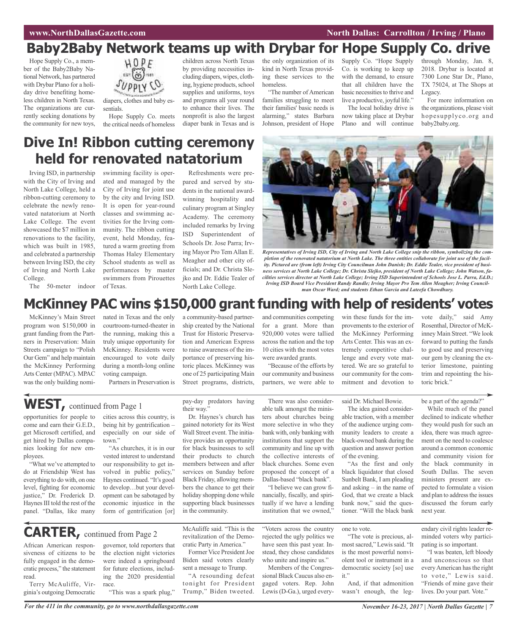# **Baby2Baby Network teams up with Drybar for Hope Supply Co. drive**

Hope Supply Co., a member of the Baby2Baby National Network, has partnered with Drybar Plano for a holiday drive benefiting homeless children in North Texas. The organizations are currently seeking donations by the community for new toys,



diapers, clothes and baby essentials.

Hope Supply Co. meets the critical needs of homeless

children across North Texas by providing necessities including diapers, wipes, clothing, hygiene products, school supplies and uniforms, toys and programs all year round to enhance their lives. The nonprofit is also the largest diaper bank in Texas and is

the only organization of its kind in North Texas providing these services to the homeless.

"The number of American families struggling to meet their families' basic needs is alarming," states Barbara Johnson, president of Hope

Supply Co. "Hope Supply Co. is working to keep up with the demand, to ensure that all children have the basic necessities to thrive and live a productive, joyful life." The local holiday drive is

now taking place at Drybar Plano and will continue through Monday, Jan. 8, 2018. Drybar is located at 7300 Lone Star Dr., Plano, TX 75024, at The Shops at Legacy.

For more information on the organizations, please visit hopesupplyco.org and baby2baby.org.

# **Dive In! Ribbon cutting ceremony held for renovated natatorium**

Irving ISD, in partnership with the City of Irving and North Lake College, held a ribbon-cutting ceremony to celebrate the newly renovated natatorium at North Lake College. The event showcased the \$7 million in renovations to the facility, which was built in 1985, and celebrated a partnership between Irving ISD, the city of Irving and North Lake College.

The 50-meter indoor

swimming facility is operated and managed by the City of Irving for joint use by the city and Irving ISD. It is open for year-round classes and swimming activities for the Irving community. The ribbon cutting event, held Monday, featured a warm greeting from Thomas Haley Elementary School students as well as performances by master swimmers from Pirouettes of Texas.

Refreshments were prepared and served by students in the national awardwinning hospitality and culinary program at Singley Academy. The ceremony included remarks by Irving ISD Superintendent of Schools Dr. Jose Parra; Irving Mayor Pro TemAllan E. Meagher and other city officials; and Dr. Christa Slejko and Dr. Eddie Tealer of North Lake College.



Representatives of Irving ISD, City of Irving and North Lake College snip the ribbon, symbolizing the completion of the renovated natatorium at North Lake. The three entities collaborate for joint use of the facility. Pictured are (from left) Irving City Councilman John Danish; Dr. Eddie Tealer, vice president of business services at North Lake College; Dr. Christa Slejko, president of North Lake College; John Watson, fa*cilities services director at North Lake College; Irving ISD Superintendent of Schools Jose L. Parra, Ed.D.; Irving ISD Board Vice President Randy Randle; Irving Mayor Pro Tem Allen Meagher; Irving Councilman Oscar Ward; and students Ethan Garcia and Lateefa Chowdhury.*

## **McKinney PAC wins \$150,000 grant funding with help of residents' votes**

McKinney's Main Street program won \$150,000 in grant funding from the Partners in Preservation: Main Streets campaign to "Polish Our Gem" and help maintain the McKinney Performing Arts Center (MPAC). MPAC was the only building nominated in Texas and the only courtroom-turned-theater in the running, making this a truly unique opportunity for McKinney. Residents were encouraged to vote daily during a month-long online voting campaign.

Partners in Preservation is

# **WEST,** continued from Page <sup>1</sup>

opportunities for people to come and earn their G.E.D., get Microsoft certified, and get hired by Dallas companies looking for new employees.

"What we've attempted to do at Friendship West has everything to do with, on one level, fighting for economic justice," Dr. Frederick D. Haynes III told the rest of the panel. "Dallas, like many

African American responsiveness of citizens to be fully engaged in the democratic process," the statement

Terry McAuliffe, Virginia's outgoing Democratic

read.

cities across this country, is being hit by gentrification – especially on our side of town"

"As churches, it is in our vested interest to understand our responsibility to get involved in public policy," Haynes continued. "It's good to develop…but your development can be sabotaged by economic injustice in the form of gentrification [or]

governor, told reporters that the election night victories were indeed a springboard for future elections, including the 2020 presidential

"This was a spark plug,"

pay-day predators having their way.'

a community-based partnership created by the National Trust for Historic Preservation and American Express to raise awareness of the importance of preserving historic places. McKinney was one of 25 participating Main Street programs, districts,

Dr. Haynes's church has gained notoriety for its West Wall Street event. The initiative provides an opportunity for black businesses to sell their products to church members between and after services on Sunday before Black Friday, allowing members the chance to get their holiday shopping done while supporting black businesses in the community.

There was also considerable talk amongst the ministers about churches being more selective in who they bank with, only banking with institutions that support the community and line up with the collective interests of black churches. Some even proposed the concept of a Dallas-based "black bank".

and communities competing for a grant. More than 920,000 votes were tallied across the nation and the top 10 cities with the most votes were awarded grants.

"Because of the efforts by our community and business partners, we were able to

"I believe we can grow financially, fiscally, and spiritually if we have a lending institution that we owned,"

"Voters across the country rejected the ugly politics we have seen this past year. Instead, they chose candidates who unite and inspire us."

sional Black Caucus also engaged voters. Rep. John Lewis (D-Ga.), urged everywin these funds for the improvements to the exterior of the McKinney Performing Arts Center. This was an extremely competitive challenge and every vote mattered. We are so grateful to our community for the commitment and devotion to

said Dr. Michael Bowie.

The idea gained considerable traction, with a member of the audience urging community leaders to create a black-owned bank during the question and answer portion of the evening.

"As the first and only black liquidator that closed Sunbelt Bank, I am pleading and asking – in the name of God, that we create a black bank now," said the questioner. "Will the black bank

one to vote.

"The vote is precious, almostsacred," Lewissaid. "It is the most powerful nonviolent tool or instrument in a democratic society [so] use it."

And, if that admonition

vote daily," said Amy Rosenthal, Director of McKinney Main Street. "We look forward to putting the funds to good use and preserving our gem by cleaning the exterior limestone, painting trim and repointing the historic brick."

be a part of the agenda?"

While much of the panel declined to indicate whether they would push for such an idea, there was much agreement on the need to coalesce around a common economic and community vision for the black community in South Dallas. The seven ministers present are expected to formulate a vision and plan to address the issues discussed the forum early next year.

endary civil rights leader reminded voters why participating is so important.

"I was beaten, left bloody and unconscious so that everyAmerican hasthe right to vote," Lewis said. "Friends of mine gave their lives. Do your part. Vote."

For the 411 in the community, go to www.northdallasgazette.com November 16-23, 2017 | North Dallas Gazette | 7

race.

**CARTER,** continued from Page <sup>2</sup>

McAuliffe said. "This is the revitalization of the Democratic Party in America." Former Vice President Joe

Biden said voters clearly sent a message to Trump. "A resounding defeat

tonight for President Trump," Biden tweeted.

Members of the Congres-

wasn't enough, the leg-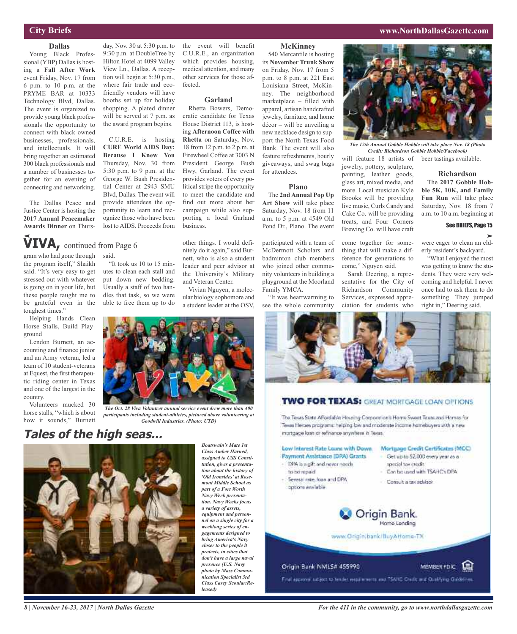### **City Briefs**

**Dallas** Young Black Professional (YBP) Dallas is hosting a **Fall After Work** event Friday, Nov. 17 from 6 p.m. to 10 p.m. at the PRYME BAR at 10333 Technology Blvd, Dallas. The event is organized to provide young black professionals the opportunity to connect with black-owned businesses, professionals, and intellectuals. It will bring together an estimated 300 black professionals and a number of businesses together for an evening of connecting and networking.

The Dallas Peace and Justice Center is hosting the **2017 Annual Peacemaker Awards Dinner** on Thurs-

day, Nov. 30 at 5:30 p.m. to 9:30 p.m. at DoubleTree by Hilton Hotel at 4099 Valley View Ln., Dallas. A reception will begin at 5:30 p.m., where fair trade and ecofriendly vendors will have booths set up for holiday shopping. A plated dinner will be served at 7 p.m. as the award program begins.

C.U.R.E. is hosting **CURE World AIDS Day: Because I Knew You** Thursday, Nov. 30 from 5:30 p.m. to 9 p.m. at the George W. Bush Presidential Center at 2943 SMU Blvd, Dallas. The event will provide attendees the opportunity to learn and recognize those who have been lost to AIDS. Proceeds from

"It took us 10 to 15 minutes to clean each stall and put down new bedding. Usually a staff of two handles that task, so we were able to free them up to do

the event will benefit C.U.R.E., an organization which provides housing, medical attention, and many other services for those affected.

#### **Garland**

Rhetta Bowers, Democratic candidate for Texas House District 113, is hosting **Afternoon Coffee with Rhetta** on Saturday, Nov. 18 from 12 p.m. to 2 p.m. at Firewheel Coffee at 3003 N President George Bush Hwy, Garland. The event provides voters of every political stripe the opportunity to meet the candidate and find out more about her campaign while also supporting a local Garland business.

other things. I would definitely do it again," said Burnett, who is also a student leader and peer advisor at the University's Military and Veteran Center.

Vivian Nguyen, a molecular biology sophomore and a student leader at the OSV,

#### gram who had gone through said. **VIVA,** continued from Page <sup>6</sup>

the program itself," Shaikh said. "It's very easy to get stressed out with whatever is going on in your life, but these people taught me to be grateful even in the toughest times."

Helping Hands Clean Horse Stalls, Build Playground

Lendon Burnett, an accounting and finance junior and an Army veteran, led a team of 10 student-veterans at Equest, the first therapeutic riding center in Texas and one of the largest in the country.

Volunteers mucked 30 horse stalls, "which is about how it sounds," Burnett

**Tales of the high seas...**



*assigned to USS Constitution, gives a presentation about the history of 'Old Ironsides' at Rosemont Middle School as part of a Fort Worth Navy Week presentation. Navy Weeks focus a variety of assets, equipment and personnel on a single city for a weeklong series of engagements designed to bring America's Navy closer to the people it protects, in cities that don't have a large naval presence (U.S. Navy photo by Mass Communication Specialist 3rd Class Casey Scoular/Released)*

*Boatswain's Mate 1st Class Amber Harned,*

*The Oct. 28 Viva Volunteer annual service event drew more than 400 participants including student-athletes, pictured above volunteering at Goodwill Industries. (Photo: UTD)*

#### **McKinney**

540 Mercantile is hosting its **November Trunk Show** on Friday, Nov. 17 from 5 p.m. to 8 p.m. at 221 East Louisiana Street, McKinney. The neighborhood marketplace – filled with apparel, artisan handcrafted jewelry, furniture, and home décor – will be unveiling a new necklace design to support the North Texas Food Bank. The event will also feature refreshments, hourly giveaways, and swag bags for attendees.

#### **Plano**

The **2nd Annual Pop Up Art Show** will take place Saturday, Nov. 18 from 11 a.m. to 5 p.m. at 4549 Old Pond Dr., Plano. The event

participated with a team of McDermott Scholars and badminton club members who joined other community volunteers in building a playground at the Moorland Family YMCA.

see the whole community



*The 12th Annual Gobble Hobble will take place Nov. 18 (Photo Credit: Richardson Gobble Hobble/Facebook)*

will feature 18 artists of beer tastings available. jewelry, pottery, sculpture, painting, leather goods, glass art, mixed media, and more. Local musician Kyle **Richardson** The **2017 Gobble Hobble 5K, 10K, and Family Fun Run** will take place

Brooks will be providing live music, Curls Candy and Cake Co. will be providing treats, and Four Corners Brewing Co. will have craft Saturday, Nov. 18 from 7 a.m. to 10 a.m. beginning at

thing that will make a difference for generations to come," Nguyen said.

sentative for the City of Richardson Community Services, expressed appreciation for students who

were eager to clean an elderly resident's backyard.

See BRIEFS, Page 15

"What I enjoyed the most was getting to know the students. They were very welcoming and helpful. I never once had to ask them to do something. They jumped right in," Deering said.



### **TWO FOR TEXAS:** GREAT MORTGAGE LOAN OPTIONS

The Texas State Affordable Housing Corporation's Home Sweet Taxas and Homes for Texas Heroes programs: helping low and moderate income homebuyers with a new mortgage loan or refinance anywhere in Texas.

#### Low Interest Rate Loans with Down Mortgage Credit Certificates (MCC) Payment Assistance IDPA) Grants

- Get up to 52,000 every year as a
- special tax credit.
	- Can be used with TSAHC's DPA

MEMBER FOIC E

Consult a tax advisor



www.Origin.bank/BuyAHome-TX

#### Origin Bank NMLS# 455990

- ISPA is a gift and never needs

- Several rate, loan and DPA

to be repaid

options available

Final approval subject to lender requirements and TSAHC Crasht and Qualifying Guidelines.

*8 | November 16-23, 2017 | North Dallas Gazette*

"It was heartwarming to

come together for some-

Sarah Deering, a repre-



#### **www.NorthDallasGazette.com**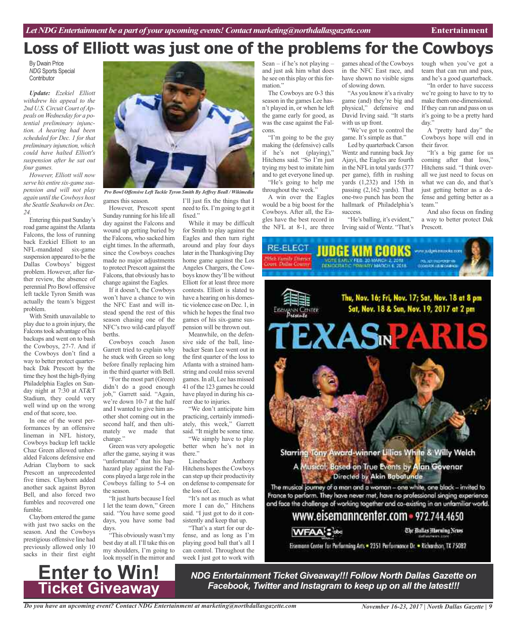# **Loss of Elliott was just one of the problems for the Cowboys**

By Dwain Price *NDG* Sports Special **Contributor** 

*Update: Ezekiel Elliott withdrew his appeal to the* 2nd U.S. Circuit Court of Ap*peals on Wednesday for a potential preliminary injunction. A hearing had been scheduled for Dec. 1 for that preliminary injunction,which could have halted Elliott's suspension after he sat out four games.*

*However, Elliott will now serve his entire six-game suspension and will not play again until the Cowboys host the Seattle Seahawks on Dec. 24.*

Entering this past Sunday's road game against theAtlanta Falcons, the loss of running back Ezekiel Elliott to an NFL-mandated six-game suspension appeared to be the Dallas Cowboys' biggest problem. However, after further review, the absence of perennial Pro Bowl offensive left tackle Tyron Smith was actually the team's biggest problem.

With Smith unavailable to play due to a groin injury, the Falcons took advantage of his backups and went on to bash the Cowboys, 27-7. And if the Cowboys don't find a way to better protect quarterback Dak Prescott by the time they host the high-flying Philadelphia Eagles on Sunday night at 7:30 at AT&T Stadium, they could very well wind up on the wrong end of that score, too.

In one of the worst performances by an offensive lineman in NFL history, Cowboys backup left tackle Chaz Green allowed unheralded Falcons defensive end Adrian Clayborn to sack Prescott an unprecedented five times. Clayborn added another sack against Byron Bell, and also forced two fumbles and recovered one fumble.

Clayborn entered the game with just two sacks on the season. And the Cowboys prestigious offensive line had previously allowed only 10 sacks in their first eight



games this season. *Pro Bowl Offensive Left Tackle Tyron Smith By Jeffrey Beall / Wikimedia*

However, Prescott spent Sunday running for his life all day against the Falcons and wound up getting buried by the Falcons, who sacked him eight times. In the aftermath, since the Cowboys coaches made no major adjustments to protect Prescott against the Falcons, that obviously hasto change against the Eagles.

If it doesn't, the Cowboys won't have a chance to win the NFC East and will instead spend the rest of this season chasing one of the NFC's two wild-card playoff berths.

Cowboys coach Jason Garrett tried to explain why he stuck with Green so long before finally replacing him in the third quarter with Bell.

"For the most part (Green) didn't do a good enough job," Garrett said. "Again, we're down 10-7 at the half and I wanted to give him another shot coming out in the second half, and then ultimately we made that change."

Green was very apologetic after the game, saying it was "unfortunate" that his haphazard play against the Falcons played a large role in the Cowboys falling to 5-4 on the season.

"It just hurts because I feel I let the team down,'' Green said. "You have some good days, you have some bad days.

"This obviously wasn't my best day at all.I'll take this on my shoulders, I'm going to look myself in the mirror and

I'll just fix the things that I need to fix.I'm going to get it fixed."

While it may be difficult for Smith to play against the Eagles and then turn right around and play four days later in the Thanksgiving Day home game against the Los Angeles Chargers, the Cowboys know they'll be without Elliott for at least three more contests. Elliott is slated to have a hearing on his domestic violence case on Dec. 1, in which he hopes the final two games of his six-game suspension will be thrown out.

Meanwhile, on the defensive side of the ball, linebacker Sean Lee went out in the first quarter of the loss to Atlanta with a strained hamstring and could miss several games. In all, Lee has missed 41 of the 123 games he could have played in during his career due to injuries.

"We don't anticipate him practicing, certainly immediately, this week," Garrett said. "It might be some time. "We simply have to play

better when he's not in there."

Linebacker Anthony Hitchens hopes the Cowboys can step up their productivity on defense to compensate for the loss of Lee.

"It's not as much as what more I can do," Hitchens said. "I just got to do it consistently and keep that up.

"That's a start for our defense, and as long as I'm playing good ball that's all I can control. Throughout the week I just got to work with

Sean – if he's not playing – and just ask him what does he see on this play or this formation." The Cowboys are 0-3 this

season in the games Lee hasn't played in, or when he left the game early for good, as was the case against the Falcons.

"I'm going to be the guy making the (defensive) calls if he's not (playing)," Hitchens said. "So I'm just trying my best to imitate him and to get everyone lined up. "He's going to help me

throughout the week." A win over the Eagles

would be a big boost for the Cowboys. After all, the Eagles have the best record in the NFL at 8-1, are three

games ahead of the Cowboys in the NFC East race, and have shown no visible signs of slowing down.

> "As you know it's a rivalry game (and) they're big and physical," defensive end David Irving said. "It starts with us up front.

"We've got to control the game. It's simple as that."

Led by quarterback Carson Wentz and running back Jay Ajayi, the Eagles are fourth in the NFL in total yards (377) per game), fifth in rushing yards (1,232) and 15th in passing (2,162 yards). That one-two punch has been the hallmark of Philadelphia's success.

"He's balling, it's evident," Irving said of Wentz. "That's

tough when you've got a team that can run and pass, and he's a good quarterback.

"In order to have success we're going to have to try to make them one-dimensional. If they can run and pass on us it's going to be a pretty hard day."

A "pretty hard day" the Cowboys hope will end in their favor.

"It's a big game for us coming after that loss," Hitchens said. "I think overall we just need to focus on what we can do, and that's just getting better as a defense and getting better as a team."

And also focus on finding a way to better protect Dak Prescott.

**RE-ELECT** TUDGE KIM BODKS www.doekinnooku.com DEMOCRATIC PRINTED MARCH & 2018 Thu, Nov. 16; Fri, Nov. 17; Sat, Nov. 18 at 8 pm Sat, Nov. 18 & Sun, Nov. 19, 2017 at 2 pm N CENTER **EXAS®PAR** 

Starring Tony Award-winner Lillias White & Willy Welch

A Musical, Based on True Events by Alan Govenar<br>Directed by Akin Babatunde

The musical journey of a man and a woman - one white, one black - invited to France to perform. They have never met, have no professional singing experience and face the challenge of working together and co-existing in an unfamiliar world.

www.eisemanncenter.com = 972.744.4650

The Ballas Morning News **WFAA's obc** 

Eisemann Center for Performing Arts = 2351 Performance Dr. = Richardson, TX 75082



*NDG Entertainment Ticket Giveaway!!! Follow North Dallas Gazette on Facebook, Twitter and Instagram to keep up on all the latest!!!*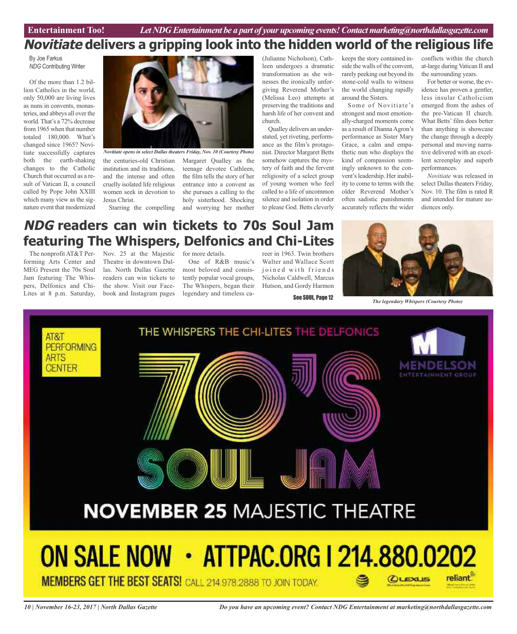# **Novitiate delivers a gripping look into the hidden world of the religious life**

By Joe Farkus *NDG* Contributing Writer

Of the more than 1.2 billion Catholics in the world, only 50,000 are living lives as nuns in convents, monasteries, and abbeys all over the world. That's a 72% decrease from 1965 when that number totaled 180,000. What's changed since 1965? Novitiate successfully captures both the earth-shaking changes to the Catholic Church that occurred as a result of Vatican II, a council called by Pope John XXIII which many view as the signature event that modernized



the centuries-old Christian Margaret Qualley as the institution and its traditions, and the intense and often cruelly isolated life religious women seek in devotion to Jesus Christ.

Starring the compelling and worrying her mother teenage devotee Cathleen, the film tells the story of her entrance into a convent as she pursues a calling to the holy sisterhood. Shocking *Novitiate opens in select Dallas theaters Friday, Nov. 10 (Courtesy Photo)*

(Julianne Nicholson), Cathleen undergoes a dramatic transformation as she witnesses the ironically unforgiving Reverend Mother's (Melissa Leo) attempts at preserving the traditions and harsh life of her convent and church.

Qualley delivers an understated, yet riveting, performance as the film's protagonist. Director Margaret Betts somehow captures the mystery of faith and the fervent religiosity of a select group of young women who feel called to a life of uncommon silence and isolation in order to please God. Betts cleverly

keeps the story contained inside the walls of the convent, rarely peeking out beyond its stone-cold walls to witness the world changing rapidly around the Sisters.

Some of Novitiate's strongest and most emotionally-charged moments come as a result of Dianna Agron's performance as Sister Mary Grace, a calm and empathetic nun who displays the kind of compassion seemingly unknown to the convent's leadership. Her inability to come to terms with the older Reverend Mother's often sadistic punishments accurately reflects the wider conflicts within the church at-large during Vatican II and the surrounding years.

For better or worse, the evidence has proven a gentler, less insular Catholicism emerged from the ashes of the pre-Vatican II church. What Betts' film does better than anything is showcase the change through a deeply personal and moving narrative delivered with an excellent screenplay and superb performances.

*Novitiate* was released in select Dallas theaters Friday, Nov. 10. The film is rated R and intended for mature audiences only.

# **NDG readers can win tickets to 70s Soul Jam featuring The Whispers, Delfonics and Chi-Lites**

forming Arts Center and MEG Present the 70s Soul Jam featuring The Whispers, Delfonics and Chi-Lites at 8 p.m. Saturday,

The nonprofit AT&T Per- Nov. 25 at the Majestic for more details. Theatre in downtown Dallas. North Dallas Gazette readers can win tickets to the show. Visit our Facebook and Instagram pages

One of R&B music's most beloved and consistently popular vocal groups, The Whispers, began their legendary and timeless ca-

reer in 1963. Twin brothers Walter and Wallace Scott joined with friends Nicholas Caldwell, Marcus Hutson, and Gordy Harmon

See SOUL, Page 12



*The legendary Whispers (Courtesy Photo)*

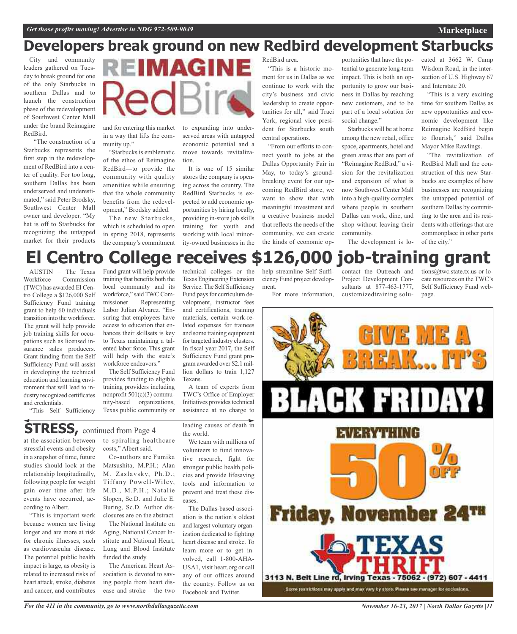# **Developers break ground on new Redbird development Starbucks**

City and community leaders gathered on Tuesday to break ground for one of the only Starbucks in southern Dallas and to launch the construction phase of the redevelopment of Southwest Center Mall under the brand Reimagine RedBird.

"The construction of a Starbucks represents the first step in the redevelopment of RedBird into a center of quality. For too long, southern Dallas has been underserved and underestimated," said Peter Brodsky, Southwest Center Mall owner and developer. "My hat is off to Starbucks for recognizing the untapped market for their products



and for entering this market in a way that lifts the community up."

"Starbucks is emblematic of the ethos of Reimagine RedBird—to provide the community with quality amenities while ensuring that the whole community benefits from the redevelopment," Brodsky added.

The new Starbucks, which is scheduled to open in spring 2018, represents the company's commitment

to expanding into underserved areas with untapped economic potential and a move towards revitalization.

It is one of 15 similar stores the company is opening across the country. The RedBird Starbucks is expected to add economic opportunities by hiring locally, providing in-store job skills training for youth and working with local minority-owned businesses in the

RedBird area. "This is a historic moment for us in Dallas as we continue to work with the city's business and civic leadership to create opportunities for all," said Traci York, regional vice president for Starbucks south central operations.

"From our efforts to connect youth to jobs at the Dallas Opportunity Fair in May, to today's groundbreaking event for our upcoming RedBird store, we want to show that with meaningful investment and a creative business model that reflects the needs of the community, we can create the kinds of economic opportunities that have the potential to generate long-term impact. This is both an opportunity to grow our business in Dallas by reaching new customers, and to be part of a local solution for social change."

Starbucks will be at home among the new retail, office space, apartments, hotel and green areas that are part of "Reimagine RedBird," a vision for the revitalization and expansion of what is now Southwest Center Mall into a high-quality complex where people in southern Dallas can work, dine, and shop without leaving their community.

cated at 3662 W. Camp Wisdom Road, in the intersection of U.S. Highway 67 and Interstate 20.

**Marketplace**

"This is a very exciting time for southern Dallas as new opportunities and economic development like Reimagine RedBird begin to flourish," said Dallas Mayor Mike Rawlings.

"The revitalization of RedBird Mall and the construction of this new Starbucks are examples of how businesses are recognizing the untapped potential of southern Dallas by committing to the area and its residents with offerings that are commonplace in other parts of the city."

### The development is lo-

### technical colleges or the **El Centro College receives \$126,000 job-training grant**

Texas Engineering Extension Service. The Self Sufficiency Fund pays for curriculum development, instructor fees and certifications, training materials, certain work-related expenses for trainees and some training equipment for targeted industry clusters. In fiscal year 2017, the Self Sufficiency Fund grant program awarded over \$2.1 million dollars to train 1,127

AUSTIN - The Texas<br>Workforce Commission Commission (TWC) has awarded El Centro College a \$126,000 Self Sufficiency Fund training grant to help 60 individuals transition into the workforce. The grant will help provide job training skills for occupations such as licensed insurance sales producers. Grant funding from the Self Sufficiency Fund will assist in developing the technical education and learning environment that will lead to industry recognized certificates and credentials.

"This Self Sufficiency

Fund grant will help provide training that benefits both the local community and its workforce," said TWC Commissioner Representing Labor Julian Alvarez. "Ensuring that employees have access to education that enhances their skillsets is key to Texas maintaining a talented labor force. This grant will help with the state's workforce endeavors." The Self Sufficiency Fund

provides funding to eligible training providers including nonprofit 501(c)(3) community-based organizations, Texas public community or

**STRESS,** continued from Page <sup>4</sup>

at the association between stressful events and obesity in a snapshot of time, future studies should look at the relationship longitudinally, following people for weight gain over time after life events have occurred, according to Albert.

"This is important work because women are living longer and are more at risk for chronic illnesses, such as cardiovascular disease. The potential public health impact is large, as obesity is related to increased risks of heart attack, stroke, diabetes and cancer, and contributes to spiraling healthcare costs," Albert said. Co-authors are Fumika

Matsushita, M.P.H.; Alan M. Zaslavsky, Ph.D.; Tiffany Powell-Wiley, M.D., M.P.H.; Natalie Slopen, Sc.D. and Julie E. Buring, Sc.D. Author disclosures are on the abstract.

The National Institute on Aging, National Cancer Institute and National Heart, Lung and Blood Institute funded the study.

The American Heart Association is devoted to saving people from heart disease and stroke – the two Initiatives provides technical assistance at no charge to leading causes of death in the world. We team with millions of volunteers to fund innova-

A team of experts from TWC's Office of Employer

Texans.

tive research, fight for stronger public health policies and provide lifesaving tools and information to

prevent and treat these dis-

eases. The Dallas-based association is the nation's oldest and largest voluntary organization dedicated to fighting heart disease and stroke. To learn more or to get involved, call 1-800-AHA-USA1, visit heart.org or call any of our offices around the country. Follow us on Facebook and Twitter.

help streamline Self Sufficiency Fund project development.

For more information,

contact the Outreach and Project Development Consultants at 877-463-1777, customizedtraining.solutions@twc.state.tx.us or locate resources on the TWC's Self Sufficiency Fund webpage.



*For the 411 in the community, go to www.northdallasgazette.com*

*November 16-23, 2017 | North Dallas Gazette |11*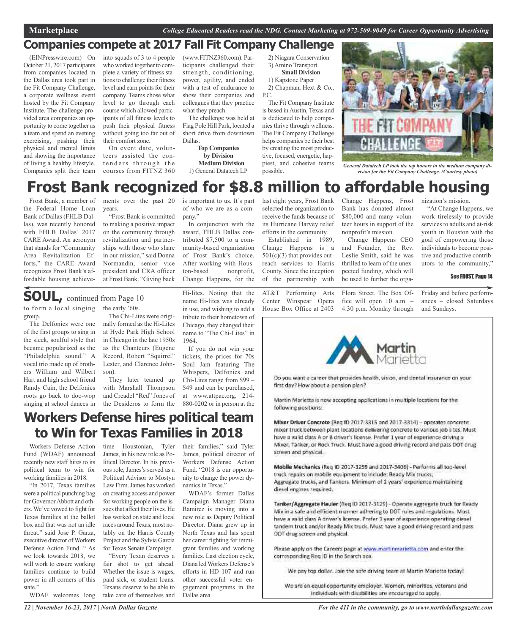### **Companies compete at 2017 Fall Fit Company Challenge**

(EINPresswire.com) On October 21, 2017 participants from companies located in the Dallas area took part in the Fit Company Challenge, a corporate wellness event hosted by the Fit Company Institute. The challenge provided area companies an opportunity to come together as a team and spend an evening exercising, pushing their physical and mental limits and showing the importance of living a healthy lifestyle. Companies split their team

into squads of 3 to 4 people who worked together to complete a variety of fitness stations to challenge their fitness level and earn points for their company. Teams chose what level to go through each course which allowed participants of all fitness levels to push their physical fitness without going too far out of their comfort zone.

On event date, volunteers assisted the contenders through the courses from FITNZ 360 (www.FITNZ360.com). Participants challenged their strength, conditioning, power, agility, and ended with a test of endurance to show their companies and colleagues that they practice what they preach.

The challenge was held at Flag Pole Hill Park, located a short drive from downtown Dallas.

**Top Companies by Division Medium Division** 1) General Datatech LP 2) Niagara Conservation 3) Amino Transport **Small Division**

1) Kapstone Paper 2) Chapman, Hext & Co.,

P<sub>C</sub> The Fit Company Institute is based in Austin, Texas and is dedicated to help companies thrive through wellness. The Fit Company Challenge helps companies be their best by creating the most productive, focused, energetic, happiest, and cohesive teams



*General Datatech LP took the top honors in the medium company division for the Fit Company Challenge. (Courtesy photo)*

# **Frost Bank recognized for \$8.8 million to affordable housing**

possible.

Frost Bank, a member of the Federal Home Loan Bank of Dallas (FHLB Dallas), was recently honored with FHLB Dallas' 2017 CARE Award. An acronym that stands for "Community Area Revitalization Efforts," the CARE Award recognizes Frost Bank's affordable housing achieve-

ments over the past 20 is important to us. It's part years.

"Frost Bank is committed to making a positive impact on the community through revitalization and partnerships with those who share in our mission," said Donna Normandin, senior vice president and CRA officer at Frost Bank. "Giving back

of who we are as a company.'

In conjunction with the award, FHLB Dallas contributed \$7,500 to a community-based organization of Frost Bank's choice. After working with Houston-based nonprofit, Change Happens, for the

last eight years, Frost Bank selected the organization to receive the funds because of its Hurricane Harvey relief efforts in the community.

Established in 1989, Change Happens is a  $501(c)(3)$  that provides outreach services to Harris County. Since the inception of the partnership with

AT&T Performing Arts Center Winspear Opera House Box Office at 2403

Change Happens, Frost Bank has donated almost \$80,000 and many volunteer hours in support of the nonprofit's mission.

Change Happens CEO and Founder, the Rev. Leslie Smith, said he was thrilled to learn of the unexpected funding, which will be used to further the orga-

Flora Street. The Box Office will open 10 a.m. – 4:30 p.m. Monday through nization's mission.

"At Change Happens, we work tirelessly to provide services to adults and at-risk youth in Houston with the goal of empowering those individuals to become positive and productive contributors to the community,"

#### See FROST, Page 14

Friday and before performances – closed Saturdays and Sundays.



Ob you want a career that provides health, vision, and dental insurance on your first day? How about a pension plan?

Martin Marietta is now accepting applications in multiple locations for the following positions:

Mixer Driver Concrete (Reg II) 2017-3315 and 2017-3314] - operates concrete mixer truck between plant locations delivering concrete to various job sites. Must have a valid class A or B driver's license. Prefer 1 year of experience driving a Mixer, Tanker, or Rock Truck. Must have a good driving record and pass DOT crug screen and physical.

Mobile Mechanics (Reg ID 2017-3259 and 2017-3406) - Performs all top-level truck repairs on mobile equipment to include: Ready Mix trucks, Aggregate trucks, and Tankers. Minimum of 2 years' experience maintaining diesel engines required.

Tanker/Aggregate Hauler (Req ID 2017-3129) - Operate aggregate truck for Ready Mix in a safe and efficient manner adhering to DOT rules and regulations. Must have a valid class A driver's license. Prefer 1 year of experience operating diesel tandem truck and/or Ready Mix truck. Must have a good driving record and pass OOT drug screen and physical.

Please apply on the Careers page at www.martinmarietta.com and enter the corresponding Reg ID in the Search box.

We pay top dollar. Join the safe driving team at Martin Marietta today!

We are an equal opportunity employer. Women, minorities, veterans and individuals with disabilities are encouraged to apply.

to form a local singing group. **SOUL,** continued from Page <sup>10</sup>

The Delfonics were one of the first groups to sing in the sleek, soulful style that became popularized as the "Philadelphia sound." A vocal trio made up of brothers William and Wilbert Hart and high school friend Randy Cain, the Delfonics roots go back to doo-wop singing at school dances in the early '60s. The Chi-Lites were originally formed as the Hi-Lites at Hyde Park High School in Chicago in the late 1950s as the Chanteurs (Eugene Record, Robert "Squirrel" Lester, and Clarence Johnson).

They later teamed up with Marshall Thompson and Creadel "Red" Jones of the Desideros to form the Hi-lites. Noting that the name Hi-lites was already in use, and wishing to add a tribute to their hometown of Chicago, they changed their name to "The Chi-Lites" in 1964.

If you do not win your tickets, the prices for 70s Soul Jam featuring The Whispers, Delfonics and Chi-Lites range from \$99 – \$49 and can be purchased, at www.attpac.org, 214- 880-0202 or in person at the

## **Workers Defense hires political team to Win for Texas Families in 2018**

time Houstonian, Tyler

Workers Defense Action Fund (WDAF) announced recently new staff hires to its political team to win for working families in 2018.

"In 2017, Texas families were a political punching bag for Governor Abbott and others. We've vowed to fight for Texas families at the ballot box and that was not an idle threat." said Jose P. Garza, executive director ofWorkers Defense Action Fund. " As we look towards 2018, we will work to ensure working families continue to build power in all corners of this state."

WDAF welcomes long

James, in his new role as Political Director. In his previous role, James's served as a Political Advisor to Mostyn Law Firm.James has worked on creating access and power for working people on the issues that affect their lives. He has worked on state and local races around Texas, most notably on the Harris County Project and the Sylvia Garcia for Texas Senate Campaign. "Every Texan deserves a

fair shot to get ahead. Whether the issue is wages, paid sick, or student loans. Texans deserve to be able to take care of themselves and

their families," said Tyler James, political director of Workers Defense Action Fund. "2018 is our opportunity to change the power dynamics in Texas."

WDAF's former Dallas Campaign Manager Diana Ramirez is moving into a new role as Deputy Political Director. Diana grew up in North Texas and has spent her career fighting for immigrant families and working families. Last election cycle, Diana ledWorkers Defense's efforts in HD 107 and run other successful voter engagement programs in the Dallas area.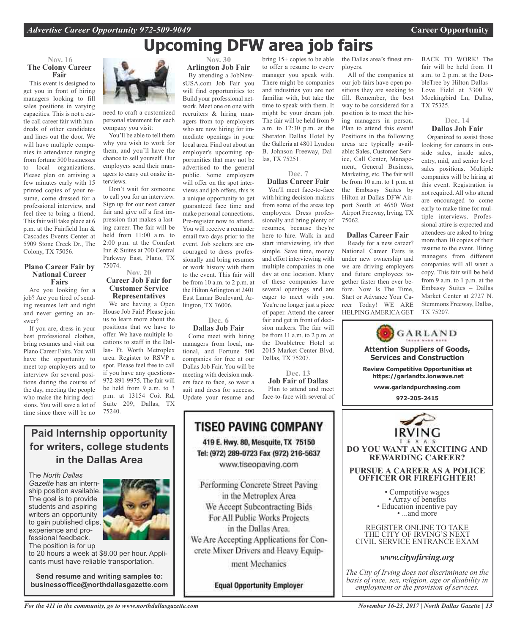the Dallas area's finest em-

All of the companies at our job fairs have open positions they are seeking to fill. Remember, the best way to be considered for a position is to meet the hiring managers in person. Plan to attend this event! Positions in the following areas are typically available: Sales, Customer Service, Call Center, Management, General Business, Marketing, etc. The fair will be from 10 a.m. to 1 p.m. at the Embassy Suites by Hilton at Dallas DFW Airport South at 4650 West Airport Freeway, Irving, TX

ployers.

75062.

**Dallas Career Fair** Ready for a new career? National Career Fairs is under new ownership and we are driving employers and future employees together faster then ever before. Now Is The Time, Start or Advance Your Career Today! WE ARE HELPING AMERICA GET

# **Upcoming DFW area job fairs**

#### **Nov. 16 The Colony Career Fair**

This event is designed to get you in front of hiring managers looking to fill sales positions in varying capacities. This is not a cattle call career fair with hundreds of other candidates and lines out the door. We will have multiple companies in attendance ranging from fortune 500 businesses to local organizations. Please plan on arriving a few minutes early with 15 printed copies of your resume, come dressed for a professional interview, and feel free to bring a friend. This fair will take place at 6 p.m. at the Fairfield Inn & Cascades Events Center at 5909 Stone Creek Dr., The Colony, TX 75056.

#### **Plano Career Fair by National Career Fairs**

Are you looking for a job? Are you tired of sending resumes left and right and never getting an answer?

If you are, dress in your best professional clothes, bring resumes and visit our Plano Career Fairs. You will have the opportunity to meet top employers and to interview for several positions during the course of the day, meeting the people who make the hiring decisions. You will save a lot of time since there will be no



need to craft a customized personal statement for each company you visit:

You'll be able to tell them why you wish to work for them, and you'll have the chance to sell yourself. Our employers send their managers to carry out onsite interviews.

Don't wait for someone to call you for an interview. Sign up for our next career fair and give off a first impression that makes a lasting career. The fair will be held from 11:00 a.m. to 2:00 p.m. at the Comfort Inn & Suites at 700 Central Parkway East, Plano, TX 75074.

#### **Nov. 20 Career Job Fair for Customer Service Representatives**

We are having a Open House Job Fair! Please join us to learn more about the positions that we have to offer. We have multiple locations to staff in the Dallas- Ft. Worth Metroplex area. Register to RSVP a spot. Please feel free to call if you have any questions-972-891-9975. The fair will be held from 9 a.m. to 3 p.m. at 13154 Coit Rd, Suite 209, Dallas, TX 75240.

**Arlington Job Fair** By attending a JobNewsUSA.com Job Fair you will find opportunities to: Build your professional network. Meet one on one with recruiters & hiring managers from top employers who are now hiring for immediate openings in your local area. Find out about an employer's upcoming opportunities that may not be advertised to the general public. Some employers will offer on the spot interviews and job offers, this is a unique opportunity to get guaranteed face time and make personal connections. Pre-register now to attend. You will receive a reminder email two days prior to the event. Job seekers are encouraged to dress professionally and bring resumes or work history with them to the event. This fair will be from 10 a.m. to 2 p.m. at the Hilton Arlington at 2401 East Lamar Boulevard, Ar-

**Nov. 30**

#### **Dec. 6 Dallas Job Fair**

lington, TX 76006.

Come meet with hiring managers from local, national, and Fortune 500 companies for free at our Dallas Job Fair. You will be meeting with decision makers face to face, so wear a suit and dress for success. Update your resume and

bring 15+ copies to be able to offer a resume to every manager you speak with. There might be companies and industries you are not familiar with, but take the time to speak with them. It might be your dream job. The fair will be held from 9 a.m. to 12:30 p.m. at the Sheraton Dallas Hotel by the Galleria at 4801 Lyndon B. Johnson Freeway, Dallas, TX 75251.

**Dec. 7**

**Dallas Career Fair** You'll meet face-to-face with hiring decision-makers from some of the areas top employers. Dress professionally and bring plenty of resumes, because they're here to hire. Walk in and start interviewing, it's that simple. Save time, money and effort interviewing with multiple companies in one day at one location. Many of these companies have several openings and are eager to meet with you. You're no longer just a piece of paper. Attend the career fair and get in front of decision makers. The fair will be from 11 a.m. to 2 p.m. at the Doubletree Hotel at 2015 Market Center Blvd, Dallas, TX 75207.

**Dec. 13 Job Fair of Dallas**

Plan to attend and meet face-to-face with several of



REGISTER ONLINE TO TAKE THE CITY OF IRVING'S NEXT CIVIL SERVICE ENTRANCE EXAM

**Attention Suppliers of Goods, Services and Construction Review Competitive Opportunities at https://garlandtx.ionwave.net www.garlandpurchasing.com 972-205-2415**

GARLAND

#### *www.cityofirving.org*

*The City of Irving does not discriminate on the basis of race, sex, religion, age or disability in employment or the provision of services.*

### **Paid Internship opportunity for writers, college students in the Dallas Area**

The *North Dallas Gazette* has an internship position available. The goal is to provide students and aspiring writers an opportunity to gain published clips, experience and professional feedback.



The position is for up to 20 hours a week at \$8.00 per hour. Applicants must have reliable transportation.

**Send resume and writing samples to: businessoffice@northdallasgazette.com**

*For the 411 in the community, go to www.northdallasgazette.com*

### **Equal Opportunity Employer**

We Are Accepting Applications for Concrete Mixer Drivers and Heavy Equipment Mechanics

BACK TO WORK! The fair will be held from 11 a.m. to 2 p.m. at the DoubleTree by Hilton Dallas – Love Field at 3300 W Mockingbird Ln, Dallas, TX 75325.

#### **Dec. 14 Dallas Job Fair**

Organized to assist those looking for careers in outside sales, inside sales, entry, mid, and senior level sales positions. Multiple companies will be hiring at this event. Registration is not required. All who attend are encouraged to come early to make time for multiple interviews. Professional attire is expected and attendees are asked to bring more than 10 copies of their resume to the event. Hiring managers from different companies will all want a copy. This fair will be held from 9 a.m. to 1 p.m. at the Embassy Suites – Dallas Market Center at 2727 N. Stemmons Freeway, Dallas, TX 75207.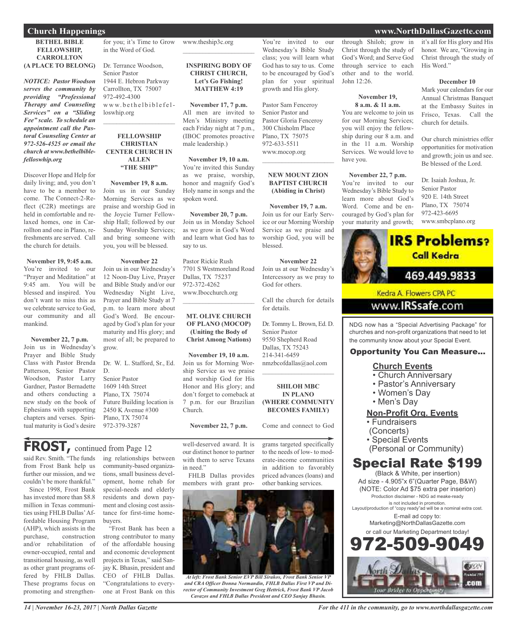#### **BETHEL BIBLE FELLOWSHIP, CARROLLTON (A PLACE TO BELONG)**

*NOTICE: Pastor Woodson serves the community by providing "Professional Therapy and Counseling Services" on a "Sliding Fee" scale. To schedule an appointment call the Pastoral Counseling Center at 972-526-4525 or email the church at www.bethelbiblefelloswhip.org*

Discover Hope and Help for daily living; and, you don't have to be a member to come. The Connect-2-Reflect (C2R) meetings are held in comfortable and relaxed homes, one in Carrollton and one in Plano, refreshments are served. Call the church for details.

#### **November 19, 9:45 a.m.**

You're invited to our "Prayer and Meditation" at 9:45 am. You will be blessed and inspired. You don't want to miss this as we celebrate service to God our community and all mankind.

#### **November 22, 7 p.m.**

Join us in Wednesday's Prayer and Bible Study Class with Pastor Brenda Patterson, Senior Pastor Woodson, Pastor Larry Gardner, Pastor Bernadette and others conducting a new study on the book of Ephesians with supporting chapters and verses. Spiritual maturity is God's desire

for you; it's Time to Grow in the Word of God.

Dr. Terrance Woodson, Senior Pastor 1944 E. Hebron Parkway Carrollton, TX 75007 972-492-4300 www.bethelbiblefelloswhip.org

#### **FELLOWSHIP CHRISTIAN CENTER CHURCH IN ALLEN "THE SHIP"**

 $\mathcal{L}_\text{max}$  , which is a set of the set of the set of the set of the set of the set of the set of the set of the set of the set of the set of the set of the set of the set of the set of the set of the set of the set of

**November 19, 8 a.m.** Join us in our Sunday Morning Services as we praise and worship God in the Joycie Turner Fellowship Hall; followed by our Sunday Worship Services; and bring someone with you, you will be blessed.

#### **November 22**

Join us in our Wednesday's 12 Noon-Day Live, Prayer and Bible Study and/or our Wednesday Night Live, Prayer and Bible Study at 7 p.m. to learn more about God's Word. Be encouraged by God's plan for your maturity and His glory; and most of all; be prepared to grow.

Dr. W. L. Stafford, Sr., Ed. D. Senior Pastor 1609 14th Street Plano, TX 75074 Future Building location is 2450 K Avenue #300 Plano, TX 75074 972-379-3287

#### www.theship3c.org  $\overline{\phantom{a}}$  , which is a set of the set of the set of the set of the set of the set of the set of the set of the set of the set of the set of the set of the set of the set of the set of the set of the set of the set of th

**INSPIRING BODY OF CHRIST CHURCH, Let's Go Fishing! MATTHEW 4:19**

**November 17, 7 p.m.** All men are invited to Men's Ministry meeting each Friday night at 7 p.m., (IBOC promotes proactive male leadership.)

**November 19, 10 a.m.** You're invited this Sunday as we praise, worship, honor and magnify God's Holy name in songs and the spoken word.

**November 20, 7 p.m.** Join us in Monday School as we grow in God's Word and learn what God has to say to us.

Pastor Rickie Rush 7701 S Westmoreland Road Dallas, TX 75237 972-372-4262 www.Ibocchurch.org

 $\overline{\phantom{a}}$  , which is a set of the set of the set of the set of the set of the set of the set of the set of the set of the set of the set of the set of the set of the set of the set of the set of the set of the set of th

#### **MT. OLIVE CHURCH OF PLANO (MOCOP) (Uniting the Body of Christ Among Nations)**

**November 19, 10 a.m.** Join us for Morning Worship Service as we praise and worship God for His Honor and His glory; and don't forget to comeback at 7 p.m. for our Brazilian Church.

**November 22, 7 p.m.**

# **FROST,** continued from Page <sup>12</sup>

said Rev. Smith. "The funds from Frost Bank help us further our mission, and we couldn't be more thankful."

Since 1998, Frost Bank has invested more than \$8.8 million in Texas communities using FHLB Dallas'Affordable Housing Program (AHP), which assists in the purchase, construction and/or rehabilitation of owner-occupied, rental and transitional housing, as well as other grant programs offered by FHLB Dallas. These programs focus on promoting and strengthen-

ing relationships between community-based organizations, small business development, home rehab for special-needs and elderly residents and down payment and closing cost assistance for first-time homebuyers.

"Frost Bank has been a strong contributor to many of the affordable housing and economic development projects in Texas," said Sanjay K. Bhasin, president and CEO of FHLB Dallas. "Congratulations to everyone at Frost Bank on this

well-deserved award. It is our distinct honor to partner with them to serve Texans in need."

FHLB Dallas provides members with grant pro-



*At left: Frost Bank Senior EVP Bill Sirakos, Frost Bank Senior VP and CRA Officer Donna Normandin, FHLB Dallas First VP and Director of Community Investment Greg Hettrick, Frost Bank VP Jacob Cavazos and FHLB Dallas President and CEO Sanjay Bhasin.*

through Shiloh; grow in Christ through the study of God's Word; and Serve God through service to each other and to the world. John 12:26.

You're invited to our Wednesday's Bible Study class; you will learn what God has to say to us. Come to be encouraged by God's plan for your spiritual growth and His glory.

Pastor Sam Fenceroy Senior Pastor and Pastor Gloria Fenceroy 300 Chisholm Place Plano, TX 75075 972-633-5511 www.mocop.org

 $\overline{\phantom{a}}$  , and the set of the set of the set of the set of the set of the set of the set of the set of the set of the set of the set of the set of the set of the set of the set of the set of the set of the set of the s

**NEW MOUNT ZION BAPTIST CHURCH (Abiding in Christ)**

**November 19, 7 a.m.** Join us for our Early Service or our Morning Worship Service as we praise and worship God, you will be

**November 22** Join us at our Wednesday's Intercessory as we pray to

Call the church for details

Dr. Tommy L. Brown, Ed. D.

9550 Shepherd Road Dallas, TX 75243 214-341-6459

nmzbcofdallas@aol.com  $\overline{\phantom{a}}$  , and the set of the set of the set of the set of the set of the set of the set of the set of the set of the set of the set of the set of the set of the set of the set of the set of the set of the set of the s

**SHILOH MBC IN PLANO (WHERE COMMUNITY BECOMES FAMILY)**

Come and connect to God

grams targeted specifically to the needs of low- to moderate-income communities in addition to favorably priced advances (loans) and other banking services.

blessed.

God for others.

for details.

Senior Pastor

#### **November 19, 8 a.m. & 11 a.m.**

You are welcome to join us for our Morning Services; you will enjoy the fellowship during our 8 a.m. and in the 11 a.m. Worship Services. We would love to have you.

#### **November 22, 7 p.m.**

You're invited to our Wednesday's Bible Study to learn more about God's Word. Come and be encouraged by God's plan for your maturity and growth; it's all for His glory and His honor. We are, "Growing in Christ through the study of His Word."

#### **December 10**

Mark your calendars for our Annual Christmas Banquet at the Embassy Suites in Frisco, Texas. Call the church for details.

Our church ministries offer opportunities for motivation and growth; join us and see. Be blessed of the Lord.

Dr. Isaiah Joshua, Jr. Senior Pastor 920 E. 14th Street Plano, TX 75074 972-423-6695 www.smbcplano.org



www.IRSsafe.com

NDG now has a "Special Advertising Package" for churches and non-profit organizations that need to let the community know about your Special Event.

#### Opportunity You Can Measure...

### **Church Events**

- Church Anniversary
- Pastor's Anniversary
- Women's Day
- Men's Day

#### **Non-Profit Org. Events**

- Fundraisers
- (Concerts)
- Special Events
- (Personal or Community)

# Special Rate \$199

(Black & White, per insertion) Ad size - 4.905"x 6"(Quarter Page, B&W) (NOTE: Color Ad \$75 extra per inserion) Production disclaimer - NDG ad meake-ready is not included in promotion. Layout/production of "copy ready"ad will be a nominal extra cost. E-mail ad copy to: Marketing@NorthDallasGazette.com or call our Marketing Department today! 509-9



*14 | November 16-23, 2017 | North Dallas Gazette*

*For the 411 in the community, go to www.northdallasgazette.com*

### **Church Happenings www.NorthDallasGazette.com**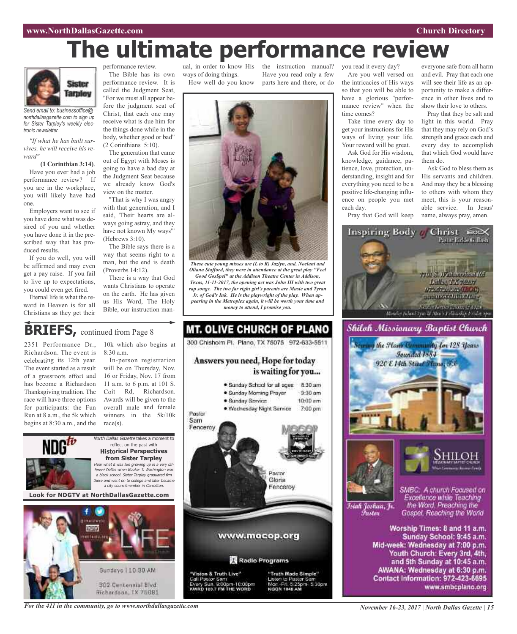#### **www.NorthDallasGazette.com Church Directory**

# **The ultimate performance review**



*Send email to: businessoffice@ northdallasgazette.com to sign up for Sister Tarpley's weekly electronic newsletter.*

*"If what he has built survives, he will receive his reward"*

#### **(1 Corinthian 3:14)**.

Have you ever had a job performance review? If you are in the workplace, you will likely have had one.

Employers want to see if you have done what was desired of you and whether you have done it in the prescribed way that has produced results.

If you do well, you will be affirmed and may even get a pay raise. If you fail to live up to expectations, you could even get fired.

Eternal life is what the reward in Heaven is for all Christians as they get their

performance review. The Bible has its own performance review. It is called the Judgment Seat, "For we must all appear before the judgment seat of Christ, that each one may receive what is due him for the things done while in the body, whether good or bad" (2 Corinthians 5:10).

The generation that came out of Egypt with Moses is going to have a bad day at the Judgment Seat because we already know God's view on the matter.

"That is why I was angry with that generation, and I said, 'Their hearts are always going astray, and they have not known My ways'" (Hebrews 3:10).

The Bible says there is a way that seems right to a man, but the end is death (Proverbs 14:12).

There is a way that God wants Christians to operate on the earth. He has given us His Word, The Holy Bible, our instruction man-

ual, in order to know His the instruction manual? ways of doing things. How well do you know

Have you read only a few parts here and there, or do



*These cute young misses are (L to R) Jazlyn, and, Noelani and Oliana Stafford, they were in attendance at the great play "Feel Good Gos\$pel" at the Addison Theatre Center in Addison, Texas, 11-11-2017, the opening act was John III with two great rap songs. The two far right girl's parents are Musie and Tyran Jr. of God's Ink. He is the playwright of the play. When appearing in the Metroplex again, it will be worth your time and money to attend, I promise you.*

### **BRIEFS**, continued from Page 8

2351 Performance Dr., Richardson. The event is celebrating its 12th year. The event started as <sup>a</sup> result of <sup>a</sup> grassroots effort and has become <sup>a</sup> Richardson Thanksgiving tradition. The race will have three options for participants: the Fun Run at 8 a.m., the 5k which begins at 8:30 a.m., and the

10k which also begins at 8:30 a.m.

In-person registration will be on Thursday, Nov. 16 or Friday, Nov. 17 from 11 a.m. to 6 p.m. at 101 S. Coit Rd, Richardson. Awards will be given to the overall male and female winners in the 5k/10k race(s).



**MT. OLIVE CHURCH OF PLANO** 300 Chishoim Pl. Plano, TX 75075 972-633-5511 Answers you need, Hope for today is waiting for you... · Sunday School for all ages 8:30 am · Sunday Morning Prayer  $9-30$  am · Sunday Service  $10:00$  am · Wednesday Night Service 7:00 pm Pastor Sam Fencercy Pastor Gloria Fenceroy www.mocop.org Radio Programs "Vision & Truth Live" "Truth Made Simple" Call Pastor Sam Jelen to Pastor San Sun, 9:00pm-10:00pm<br>103.7 FM THE WORD Mar. Fri. 5:25pm. 5:30pm

you read it every day? Are you well versed on the intricacies of His ways so that you will be able to have a glorious "performance review" when the time comes?

Take time every day to get your instructions for His ways of living your life. Your reward will be great.

Ask God for His wisdom, knowledge, guidance, patience, love, protection, understanding, insight and for everything you need to be a positive life-changing influence on people you met each day.

Pray that God will keep

everyone safe from all harm and evil. Pray that each one will see their life as an opportunity to make a difference in other lives and to show their love to others.

Pray that they be salt and light in this world. Pray that they may rely on God's strength and grace each and every day to accomplish that which God would have them do.

Ask God to bless them as His servants and children. And may they be a blessing to others with whom they meet, this is your reasonable service. In Jesus' name, always pray, amen.



Inspiring Body / Christ ≘o∝

Youth Church: Every 3rd, 4th, and 5th Sunday at 10:45 a.m. AWANA: Wednesday at 6:30 p.m. Contact Information: 972-423-6695 www.smbcplano.org

*For the 411 in the community, go to www.northdallasgazette.com*